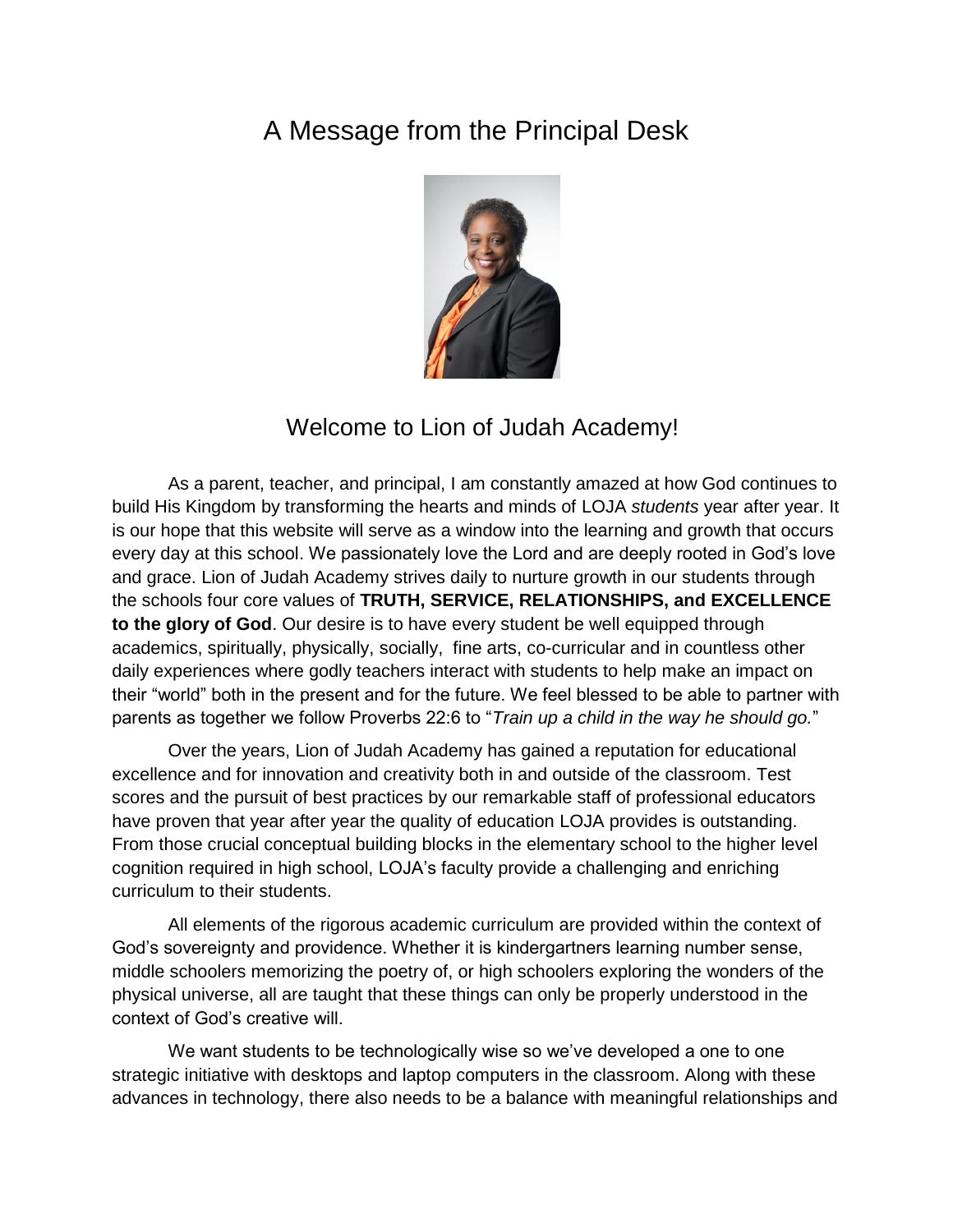## A Message from the Principal Desk



## Welcome to Lion of Judah Academy!

As a parent, teacher, and principal, I am constantly amazed at how God continues to build His Kingdom by transforming the hearts and minds of LOJA *students* year after year. It is our hope that this website will serve as a window into the learning and growth that occurs every day at this school. We passionately love the Lord and are deeply rooted in God's love and grace. Lion of Judah Academy strives daily to nurture growth in our students through the schools four core values of **TRUTH, SERVICE, RELATIONSHIPS, and EXCELLENCE to the glory of God**. Our desire is to have every student be well equipped through academics, spiritually, physically, socially, fine arts, co-curricular and in countless other daily experiences where godly teachers interact with students to help make an impact on their "world" both in the present and for the future. We feel blessed to be able to partner with parents as together we follow Proverbs 22:6 to "*Train up a child in the way he should go.*"

Over the years, Lion of Judah Academy has gained a reputation for educational excellence and for innovation and creativity both in and outside of the classroom. Test scores and the pursuit of best practices by our remarkable staff of professional educators have proven that year after year the quality of education LOJA provides is outstanding. From those crucial conceptual building blocks in the elementary school to the higher level cognition required in high school, LOJA's faculty provide a challenging and enriching curriculum to their students.

All elements of the rigorous academic curriculum are provided within the context of God's sovereignty and providence. Whether it is kindergartners learning number sense, middle schoolers memorizing the poetry of, or high schoolers exploring the wonders of the physical universe, all are taught that these things can only be properly understood in the context of God's creative will.

We want students to be technologically wise so we've developed a one to one strategic initiative with desktops and laptop computers in the classroom. Along with these advances in technology, there also needs to be a balance with meaningful relationships and